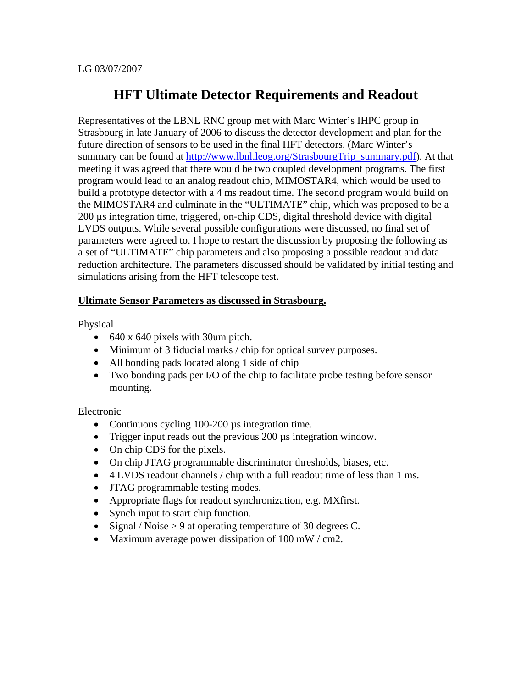# **HFT Ultimate Detector Requirements and Readout**

Representatives of the LBNL RNC group met with Marc Winter's IHPC group in Strasbourg in late January of 2006 to discuss the detector development and plan for the future direction of sensors to be used in the final HFT detectors. (Marc Winter's summary can be found at http://www.lbnl.leog.org/StrasbourgTrip\_summary.pdf). At that meeting it was agreed that there would be two coupled development programs. The first program would lead to an analog readout chip, MIMOSTAR4, which would be used to build a prototype detector with a 4 ms readout time. The second program would build on the MIMOSTAR4 and culminate in the "ULTIMATE" chip, which was proposed to be a 200 µs integration time, triggered, on-chip CDS, digital threshold device with digital LVDS outputs. While several possible configurations were discussed, no final set of parameters were agreed to. I hope to restart the discussion by proposing the following as a set of "ULTIMATE" chip parameters and also proposing a possible readout and data reduction architecture. The parameters discussed should be validated by initial testing and simulations arising from the HFT telescope test.

## **Ultimate Sensor Parameters as discussed in Strasbourg.**

Physical

- 640 x 640 pixels with 30um pitch.
- Minimum of 3 fiducial marks / chip for optical survey purposes.
- All bonding pads located along 1 side of chip
- Two bonding pads per I/O of the chip to facilitate probe testing before sensor mounting.

### Electronic

- Continuous cycling 100-200  $\mu$ s integration time.
- Trigger input reads out the previous 200  $\mu$ s integration window.
- On chip CDS for the pixels.
- On chip JTAG programmable discriminator thresholds, biases, etc.
- 4 LVDS readout channels / chip with a full readout time of less than 1 ms.
- JTAG programmable testing modes.
- Appropriate flags for readout synchronization, e.g. MXfirst.
- Synch input to start chip function.
- Signal / Noise > 9 at operating temperature of 30 degrees C.
- Maximum average power dissipation of 100 mW / cm2.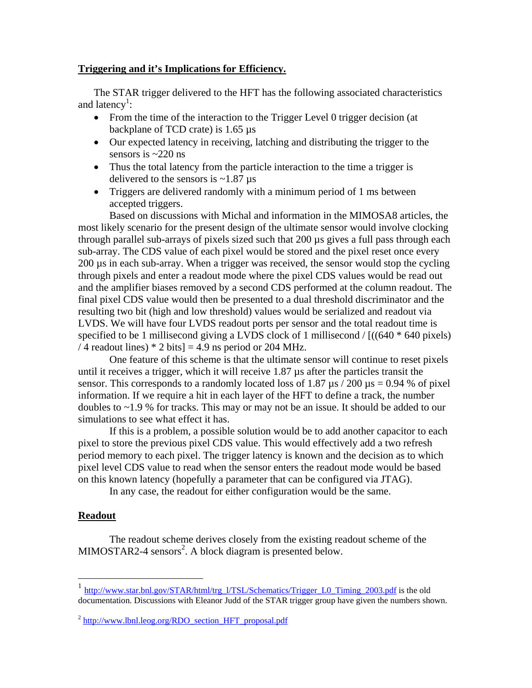#### **Triggering and it's Implications for Efficiency.**

The STAR trigger delivered to the HFT has the following associated characteristics and latency<sup>1</sup>:

- From the time of the interaction to the Trigger Level 0 trigger decision (at backplane of TCD crate) is 1.65 µs
- Our expected latency in receiving, latching and distributing the trigger to the sensors is  $\approx 220$  ns
- Thus the total latency from the particle interaction to the time a trigger is delivered to the sensors is  $\sim$ 1.87  $\mu$ s
- Triggers are delivered randomly with a minimum period of 1 ms between accepted triggers.

Based on discussions with Michal and information in the MIMOSA8 articles, the most likely scenario for the present design of the ultimate sensor would involve clocking through parallel sub-arrays of pixels sized such that 200 µs gives a full pass through each sub-array. The CDS value of each pixel would be stored and the pixel reset once every 200 µs in each sub-array. When a trigger was received, the sensor would stop the cycling through pixels and enter a readout mode where the pixel CDS values would be read out and the amplifier biases removed by a second CDS performed at the column readout. The final pixel CDS value would then be presented to a dual threshold discriminator and the resulting two bit (high and low threshold) values would be serialized and readout via LVDS. We will have four LVDS readout ports per sensor and the total readout time is specified to be 1 millisecond giving a LVDS clock of 1 millisecond  $/$  [ $((640 * 640)$  pixels) / 4 readout lines)  $*$  2 bits] = 4.9 ns period or 204 MHz.

One feature of this scheme is that the ultimate sensor will continue to reset pixels until it receives a trigger, which it will receive 1.87 µs after the particles transit the sensor. This corresponds to a randomly located loss of 1.87  $\mu$ s / 200  $\mu$ s = 0.94 % of pixel information. If we require a hit in each layer of the HFT to define a track, the number doubles to ~1.9 % for tracks. This may or may not be an issue. It should be added to our simulations to see what effect it has.

If this is a problem, a possible solution would be to add another capacitor to each pixel to store the previous pixel CDS value. This would effectively add a two refresh period memory to each pixel. The trigger latency is known and the decision as to which pixel level CDS value to read when the sensor enters the readout mode would be based on this known latency (hopefully a parameter that can be configured via JTAG).

In any case, the readout for either configuration would be the same.

### **Readout**

 $\overline{a}$ 

The readout scheme derives closely from the existing readout scheme of the  $MIMOSTAR2-4$  sensors<sup>2</sup>. A block diagram is presented below.

 $1 \frac{\text{http://www.star.bnl.gov/STAR/html/trg/VTSL/Schematics/Trigger L0. Timing 2003.pdf}}{2003. \text{pdf}}$  is the old documentation. Discussions with Eleanor Judd of the STAR trigger group have given the numbers shown.

 $^{2}$  http://www.lbnl.leog.org/RDO\_section\_HFT\_proposal.pdf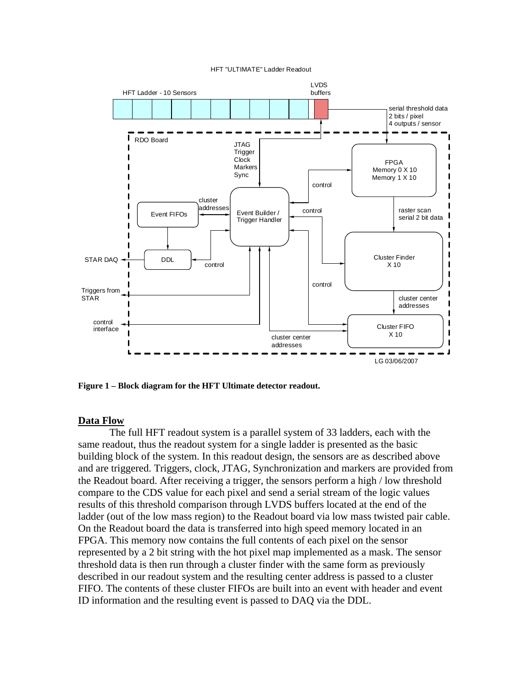#### HFT "ULTIMATE" Ladder Readout



**Figure 1 – Block diagram for the HFT Ultimate detector readout.** 

#### **Data Flow**

The full HFT readout system is a parallel system of 33 ladders, each with the same readout, thus the readout system for a single ladder is presented as the basic building block of the system. In this readout design, the sensors are as described above and are triggered. Triggers, clock, JTAG, Synchronization and markers are provided from the Readout board. After receiving a trigger, the sensors perform a high / low threshold compare to the CDS value for each pixel and send a serial stream of the logic values results of this threshold comparison through LVDS buffers located at the end of the ladder (out of the low mass region) to the Readout board via low mass twisted pair cable. On the Readout board the data is transferred into high speed memory located in an FPGA. This memory now contains the full contents of each pixel on the sensor represented by a 2 bit string with the hot pixel map implemented as a mask. The sensor threshold data is then run through a cluster finder with the same form as previously described in our readout system and the resulting center address is passed to a cluster FIFO. The contents of these cluster FIFOs are built into an event with header and event ID information and the resulting event is passed to DAQ via the DDL.